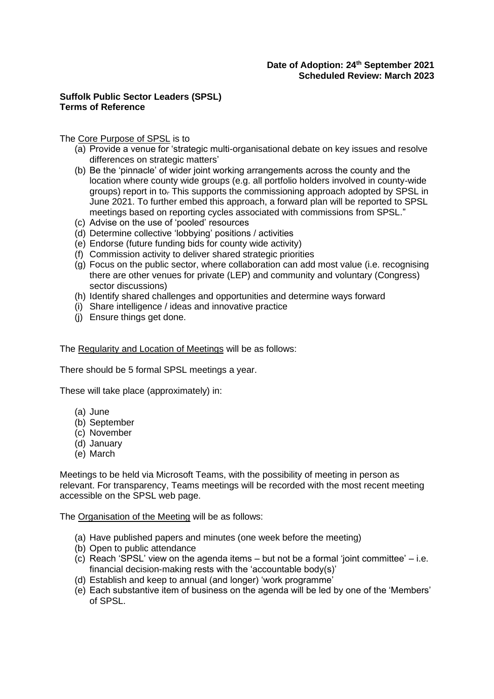## **Suffolk Public Sector Leaders (SPSL) Terms of Reference**

## The Core Purpose of SPSL is to

- (a) Provide a venue for 'strategic multi-organisational debate on key issues and resolve differences on strategic matters'
- (b) Be the 'pinnacle' of wider joint working arrangements across the county and the location where county wide groups (e.g. all portfolio holders involved in county-wide groups) report in to*.* This supports the commissioning approach adopted by SPSL in June 2021. To further embed this approach, a forward plan will be reported to SPSL meetings based on reporting cycles associated with commissions from SPSL."
- (c) Advise on the use of 'pooled' resources
- (d) Determine collective 'lobbying' positions / activities
- (e) Endorse (future funding bids for county wide activity)
- (f) Commission activity to deliver shared strategic priorities
- (g) Focus on the public sector, where collaboration can add most value (i.e. recognising there are other venues for private (LEP) and community and voluntary (Congress) sector discussions)
- (h) Identify shared challenges and opportunities and determine ways forward
- (i) Share intelligence / ideas and innovative practice
- (j) Ensure things get done.

The Regularity and Location of Meetings will be as follows:

There should be 5 formal SPSL meetings a year.

These will take place (approximately) in:

- (a) June
- (b) September
- (c) November
- (d) January
- (e) March

Meetings to be held via Microsoft Teams, with the possibility of meeting in person as relevant. For transparency, Teams meetings will be recorded with the most recent meeting accessible on the SPSL web page.

The Organisation of the Meeting will be as follows:

- (a) Have published papers and minutes (one week before the meeting)
- (b) Open to public attendance
- (c) Reach 'SPSL' view on the agenda items but not be a formal 'joint committee' i.e. financial decision-making rests with the 'accountable body(s)'
- (d) Establish and keep to annual (and longer) 'work programme'
- (e) Each substantive item of business on the agenda will be led by one of the 'Members' of SPSL.